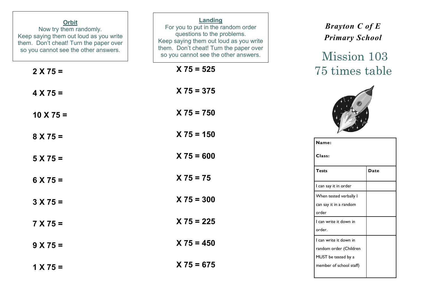| <b>Orbit</b><br>Now try them randomly.<br>Keep saying them out loud as you write<br>them. Don't cheat! Turn the paper over<br>so you cannot see the other answers. | Landing<br>For you to put in the random order<br>questions to the problems.<br>Keep saying them out loud as you write<br>them. Don't cheat! Turn the paper over<br>so you cannot see the other answers. | <b>Brayton C of E</b><br><b>Primary School</b><br>Mission 103 |
|--------------------------------------------------------------------------------------------------------------------------------------------------------------------|---------------------------------------------------------------------------------------------------------------------------------------------------------------------------------------------------------|---------------------------------------------------------------|
| $2 X 75 =$                                                                                                                                                         | $X 75 = 525$                                                                                                                                                                                            | 75 times table                                                |
| $4 X 75 =$                                                                                                                                                         | $X 75 = 375$                                                                                                                                                                                            |                                                               |
| $10 \times 75 =$                                                                                                                                                   | $X 75 = 750$                                                                                                                                                                                            |                                                               |
| $8 X 75 =$                                                                                                                                                         | $X 75 = 150$                                                                                                                                                                                            | Name:                                                         |
| $5 X 75 =$                                                                                                                                                         | $X 75 = 600$                                                                                                                                                                                            | Class:                                                        |
| $6 X 75 =$                                                                                                                                                         | $X 75 = 75$                                                                                                                                                                                             | <b>Tests</b><br><b>Date</b><br>I can say it in order          |
| $3 X 75 =$                                                                                                                                                         | $X 75 = 300$                                                                                                                                                                                            | When tested verbally I<br>can say it in a random              |
| $7 X 75 =$                                                                                                                                                         | $X 75 = 225$                                                                                                                                                                                            | order<br>I can write it down in<br>order.                     |
| $9 X 75 =$                                                                                                                                                         | $X 75 = 450$                                                                                                                                                                                            | I can write it down in<br>random order (Children              |
| $1 X 75 =$                                                                                                                                                         | $X 75 = 675$                                                                                                                                                                                            | MUST be tested by a<br>member of school staff)                |
|                                                                                                                                                                    |                                                                                                                                                                                                         |                                                               |